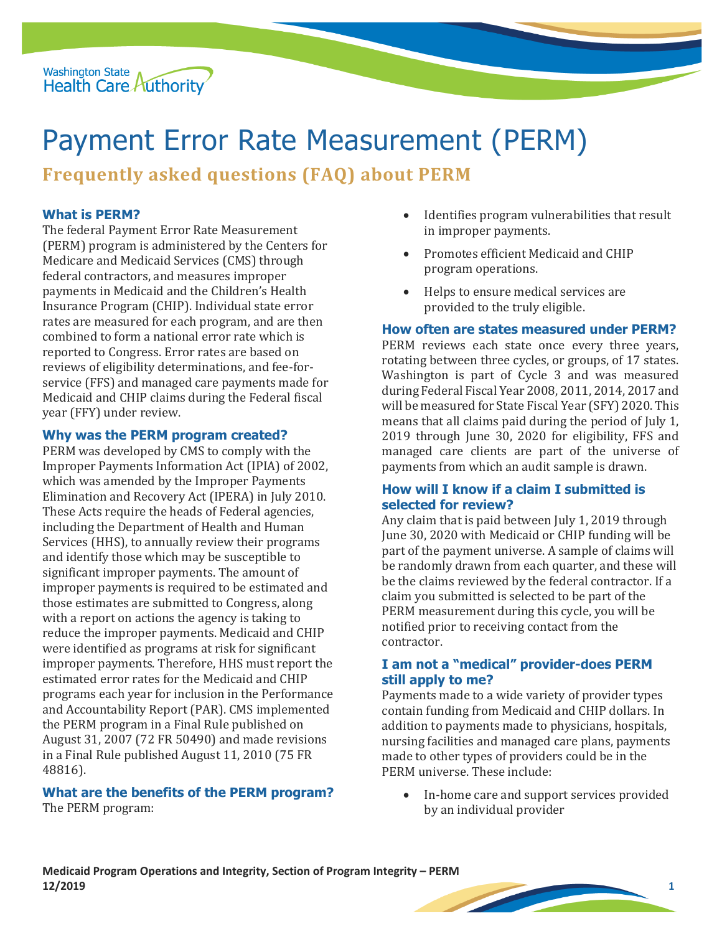

# Payment Error Rate Measurement (PERM)

**Frequently asked questions (FAQ) about PERM**

## **What is PERM?**

The federal Payment Error Rate Measurement (PERM) program is administered by the Centers for Medicare and Medicaid Services (CMS) through federal contractors, and measures improper payments in Medicaid and the Children's Health Insurance Program (CHIP). Individual state error rates are measured for each program, and are then combined to form a national error rate which is reported to Congress. Error rates are based on reviews of eligibility determinations, and fee-forservice (FFS) and managed care payments made for Medicaid and CHIP claims during the Federal fiscal year (FFY) under review.

#### **Why was the PERM program created?**

PERM was developed by CMS to comply with the Improper Payments Information Act (IPIA) of 2002, which was amended by the Improper Payments Elimination and Recovery Act (IPERA) in July 2010. These Acts require the heads of Federal agencies, including the Department of Health and Human Services (HHS), to annually review their programs and identify those which may be susceptible to significant improper payments. The amount of improper payments is required to be estimated and those estimates are submitted to Congress, along with a report on actions the agency is taking to reduce the improper payments. Medicaid and CHIP were identified as programs at risk for significant improper payments. Therefore, HHS must report the estimated error rates for the Medicaid and CHIP programs each year for inclusion in the Performance and Accountability Report (PAR). CMS implemented the PERM program in a Final Rule published on August 31, 2007 (72 FR 50490) and made revisions in a Final Rule published August 11, 2010 (75 FR 48816).

# **What are the benefits of the PERM program?**

The PERM program:

- Identifies program vulnerabilities that result in improper payments.
- Promotes efficient Medicaid and CHIP program operations.
- Helps to ensure medical services are provided to the truly eligible.

#### **How often are states measured under PERM?**

PERM reviews each state once every three years, rotating between three cycles, or groups, of 17 states. Washington is part of Cycle 3 and was measured during Federal Fiscal Year 2008, 2011, 2014, 2017 and will be measured for State Fiscal Year (SFY) 2020. This means that all claims paid during the period of July 1, 2019 through June 30, 2020 for eligibility, FFS and managed care clients are part of the universe of payments from which an audit sample is drawn.

#### **How will I know if a claim I submitted is selected for review?**

Any claim that is paid between July 1, 2019 through June 30, 2020 with Medicaid or CHIP funding will be part of the payment universe. A sample of claims will be randomly drawn from each quarter, and these will be the claims reviewed by the federal contractor. If a claim you submitted is selected to be part of the PERM measurement during this cycle, you will be notified prior to receiving contact from the contractor.

#### **I am not a "medical" provider-does PERM still apply to me?**

Payments made to a wide variety of provider types contain funding from Medicaid and CHIP dollars. In addition to payments made to physicians, hospitals, nursing facilities and managed care plans, payments made to other types of providers could be in the PERM universe. These include:

 In-home care and support services provided by an individual provider